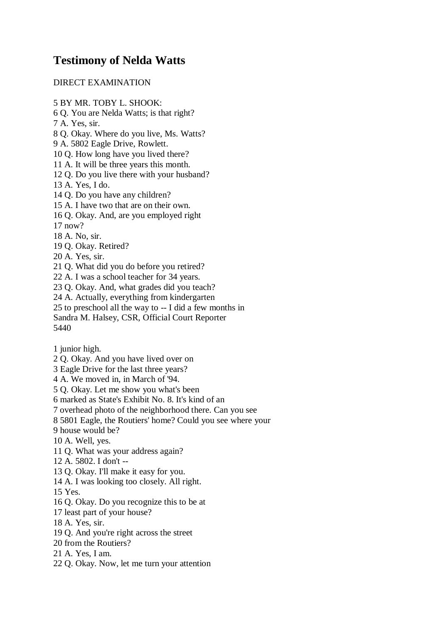## **Testimony of Nelda Watts**

## DIRECT EXAMINATION

- 5 BY MR. TOBY L. SHOOK:
- 6 Q. You are Nelda Watts; is that right?
- 7 A. Yes, sir.
- 8 Q. Okay. Where do you live, Ms. Watts?
- 9 A. 5802 Eagle Drive, Rowlett.
- 10 Q. How long have you lived there?
- 11 A. It will be three years this month.
- 12 Q. Do you live there with your husband?
- 13 A. Yes, I do.
- 14 Q. Do you have any children?
- 15 A. I have two that are on their own.
- 16 Q. Okay. And, are you employed right
- 17 now?
- 18 A. No, sir.
- 19 Q. Okay. Retired?
- 20 A. Yes, sir.
- 21 Q. What did you do before you retired?
- 22 A. I was a school teacher for 34 years.
- 23 Q. Okay. And, what grades did you teach?
- 24 A. Actually, everything from kindergarten
- 25 to preschool all the way to -- I did a few months in
- Sandra M. Halsey, CSR, Official Court Reporter

5440

- 1 junior high.
- 2 Q. Okay. And you have lived over on
- 3 Eagle Drive for the last three years?
- 4 A. We moved in, in March of '94.
- 5 Q. Okay. Let me show you what's been
- 6 marked as State's Exhibit No. 8. It's kind of an
- 7 overhead photo of the neighborhood there. Can you see
- 8 5801 Eagle, the Routiers' home? Could you see where your
- 9 house would be?
- 10 A. Well, yes.
- 11 Q. What was your address again?
- 12 A. 5802. I don't --
- 13 Q. Okay. I'll make it easy for you.
- 14 A. I was looking too closely. All right.
- 15 Yes.
- 16 Q. Okay. Do you recognize this to be at
- 17 least part of your house?
- 18 A. Yes, sir.
- 19 Q. And you're right across the street
- 20 from the Routiers?
- 21 A. Yes, I am.
- 22 Q. Okay. Now, let me turn your attention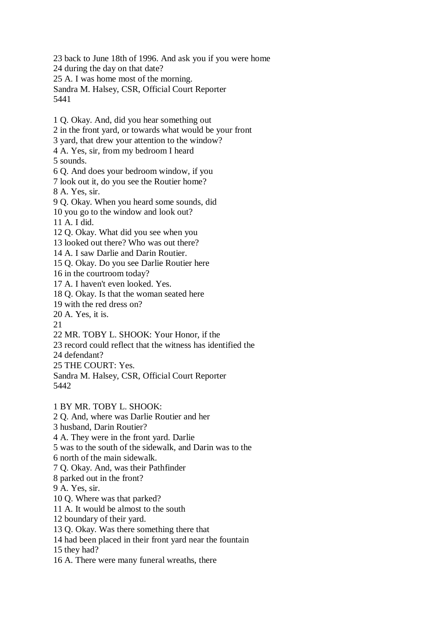23 back to June 18th of 1996. And ask you if you were home 24 during the day on that date? 25 A. I was home most of the morning. Sandra M. Halsey, CSR, Official Court Reporter 5441

1 Q. Okay. And, did you hear something out 2 in the front yard, or towards what would be your front 3 yard, that drew your attention to the window? 4 A. Yes, sir, from my bedroom I heard 5 sounds. 6 Q. And does your bedroom window, if you 7 look out it, do you see the Routier home? 8 A. Yes, sir. 9 Q. Okay. When you heard some sounds, did 10 you go to the window and look out? 11 A. I did. 12 Q. Okay. What did you see when you 13 looked out there? Who was out there? 14 A. I saw Darlie and Darin Routier. 15 Q. Okay. Do you see Darlie Routier here 16 in the courtroom today? 17 A. I haven't even looked. Yes. 18 Q. Okay. Is that the woman seated here 19 with the red dress on? 20 A. Yes, it is. 21 22 MR. TOBY L. SHOOK: Your Honor, if the 23 record could reflect that the witness has identified the 24 defendant? 25 THE COURT: Yes. Sandra M. Halsey, CSR, Official Court Reporter 5442 1 BY MR. TOBY L. SHOOK: 2 Q. And, where was Darlie Routier and her 3 husband, Darin Routier? 4 A. They were in the front yard. Darlie 5 was to the south of the sidewalk, and Darin was to the 6 north of the main sidewalk. 7 Q. Okay. And, was their Pathfinder 8 parked out in the front? 9 A. Yes, sir. 10 Q. Where was that parked? 11 A. It would be almost to the south 12 boundary of their yard. 13 Q. Okay. Was there something there that 14 had been placed in their front yard near the fountain

15 they had?

16 A. There were many funeral wreaths, there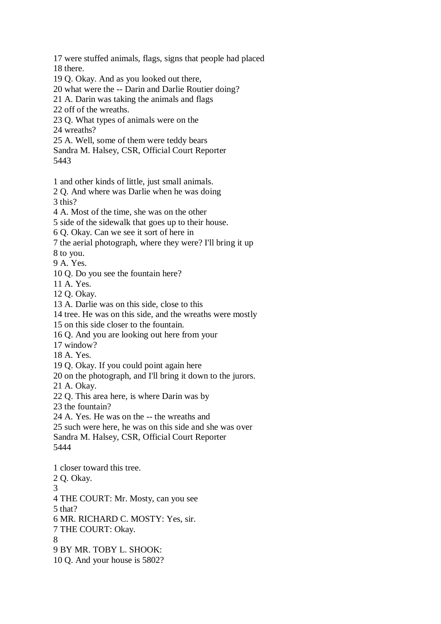17 were stuffed animals, flags, signs that people had placed 18 there.

19 Q. Okay. And as you looked out there,

20 what were the -- Darin and Darlie Routier doing?

21 A. Darin was taking the animals and flags

22 off of the wreaths.

23 Q. What types of animals were on the

24 wreaths?

25 A. Well, some of them were teddy bears

Sandra M. Halsey, CSR, Official Court Reporter

5443

1 and other kinds of little, just small animals.

2 Q. And where was Darlie when he was doing 3 this?

4 A. Most of the time, she was on the other

5 side of the sidewalk that goes up to their house.

6 Q. Okay. Can we see it sort of here in

7 the aerial photograph, where they were? I'll bring it up

8 to you.

9 A. Yes.

10 Q. Do you see the fountain here?

11 A. Yes.

12 Q. Okay.

13 A. Darlie was on this side, close to this

14 tree. He was on this side, and the wreaths were mostly

15 on this side closer to the fountain.

16 Q. And you are looking out here from your

17 window?

18 A. Yes.

19 Q. Okay. If you could point again here

20 on the photograph, and I'll bring it down to the jurors.

21 A. Okay.

22 Q. This area here, is where Darin was by

23 the fountain?

24 A. Yes. He was on the -- the wreaths and

25 such were here, he was on this side and she was over

Sandra M. Halsey, CSR, Official Court Reporter

5444

1 closer toward this tree. 2 Q. Okay. 3 4 THE COURT: Mr. Mosty, can you see 5 that? 6 MR. RICHARD C. MOSTY: Yes, sir. 7 THE COURT: Okay. 8 9 BY MR. TOBY L. SHOOK: 10 Q. And your house is 5802?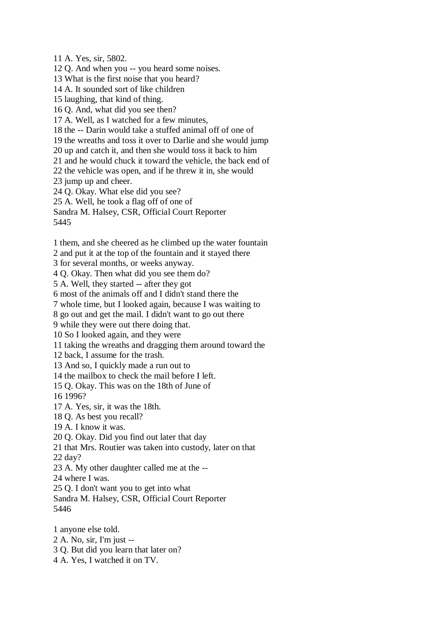11 A. Yes, sir, 5802. 12 Q. And when you -- you heard some noises. 13 What is the first noise that you heard? 14 A. It sounded sort of like children 15 laughing, that kind of thing. 16 Q. And, what did you see then? 17 A. Well, as I watched for a few minutes, 18 the -- Darin would take a stuffed animal off of one of 19 the wreaths and toss it over to Darlie and she would jump 20 up and catch it, and then she would toss it back to him 21 and he would chuck it toward the vehicle, the back end of 22 the vehicle was open, and if he threw it in, she would 23 jump up and cheer. 24 Q. Okay. What else did you see? 25 A. Well, he took a flag off of one of Sandra M. Halsey, CSR, Official Court Reporter 5445

1 them, and she cheered as he climbed up the water fountain

2 and put it at the top of the fountain and it stayed there

3 for several months, or weeks anyway.

4 Q. Okay. Then what did you see them do?

5 A. Well, they started -- after they got

6 most of the animals off and I didn't stand there the

7 whole time, but I looked again, because I was waiting to

8 go out and get the mail. I didn't want to go out there

9 while they were out there doing that.

10 So I looked again, and they were

11 taking the wreaths and dragging them around toward the

12 back, I assume for the trash.

13 And so, I quickly made a run out to

14 the mailbox to check the mail before I left.

15 Q. Okay. This was on the 18th of June of

16 1996?

17 A. Yes, sir, it was the 18th.

18 Q. As best you recall?

19 A. I know it was.

20 Q. Okay. Did you find out later that day

21 that Mrs. Routier was taken into custody, later on that

22 day?

23 A. My other daughter called me at the --

24 where I was.

25 Q. I don't want you to get into what

Sandra M. Halsey, CSR, Official Court Reporter 5446

1 anyone else told. 2 A. No, sir, I'm just -- 3 Q. But did you learn that later on? 4 A. Yes, I watched it on TV.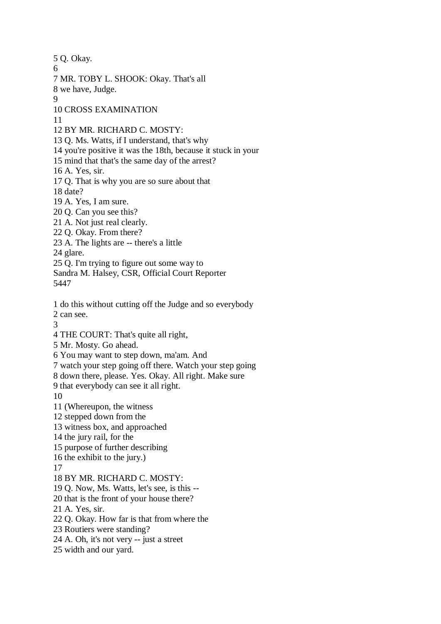5 Q. Okay. 6 7 MR. TOBY L. SHOOK: Okay. That's all 8 we have, Judge. 9 10 CROSS EXAMINATION 11 12 BY MR. RICHARD C. MOSTY: 13 Q. Ms. Watts, if I understand, that's why 14 you're positive it was the 18th, because it stuck in your 15 mind that that's the same day of the arrest? 16 A. Yes, sir. 17 Q. That is why you are so sure about that 18 date? 19 A. Yes, I am sure. 20 Q. Can you see this? 21 A. Not just real clearly. 22 Q. Okay. From there? 23 A. The lights are -- there's a little 24 glare. 25 Q. I'm trying to figure out some way to Sandra M. Halsey, CSR, Official Court Reporter 5447 1 do this without cutting off the Judge and so everybody 2 can see. 3 4 THE COURT: That's quite all right, 5 Mr. Mosty. Go ahead. 6 You may want to step down, ma'am. And 7 watch your step going off there. Watch your step going 8 down there, please. Yes. Okay. All right. Make sure 9 that everybody can see it all right. 10 11 (Whereupon, the witness 12 stepped down from the 13 witness box, and approached 14 the jury rail, for the 15 purpose of further describing 16 the exhibit to the jury.) 17 18 BY MR. RICHARD C. MOSTY: 19 Q. Now, Ms. Watts, let's see, is this -- 20 that is the front of your house there? 21 A. Yes, sir. 22 Q. Okay. How far is that from where the 23 Routiers were standing? 24 A. Oh, it's not very -- just a street 25 width and our yard.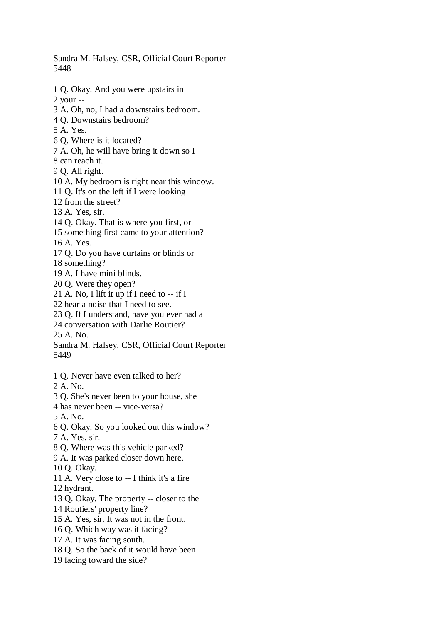Sandra M. Halsey, CSR, Official Court Reporter 5448

1 Q. Okay. And you were upstairs in

2 your --

- 3 A. Oh, no, I had a downstairs bedroom.
- 4 Q. Downstairs bedroom?
- 5 A. Yes.
- 6 Q. Where is it located?
- 7 A. Oh, he will have bring it down so I
- 8 can reach it.

9 Q. All right.

- 10 A. My bedroom is right near this window.
- 11 Q. It's on the left if I were looking
- 12 from the street?
- 13 A. Yes, sir.
- 14 Q. Okay. That is where you first, or
- 15 something first came to your attention?
- 16 A. Yes.
- 17 Q. Do you have curtains or blinds or
- 18 something?
- 19 A. I have mini blinds.
- 20 Q. Were they open?
- 21 A. No, I lift it up if I need to  $-$  if I
- 22 hear a noise that I need to see.
- 23 Q. If I understand, have you ever had a
- 24 conversation with Darlie Routier?

25 A. No.

Sandra M. Halsey, CSR, Official Court Reporter 5449

- 1 Q. Never have even talked to her?
- 2 A. No.
- 3 Q. She's never been to your house, she
- 4 has never been -- vice-versa?
- 5 A. No.
- 6 Q. Okay. So you looked out this window?
- 7 A. Yes, sir.
- 8 Q. Where was this vehicle parked?
- 9 A. It was parked closer down here.
- 10 Q. Okay.
- 11 A. Very close to -- I think it's a fire
- 12 hydrant.
- 13 Q. Okay. The property -- closer to the
- 14 Routiers' property line?
- 15 A. Yes, sir. It was not in the front.
- 16 Q. Which way was it facing?
- 17 A. It was facing south.
- 18 Q. So the back of it would have been
- 19 facing toward the side?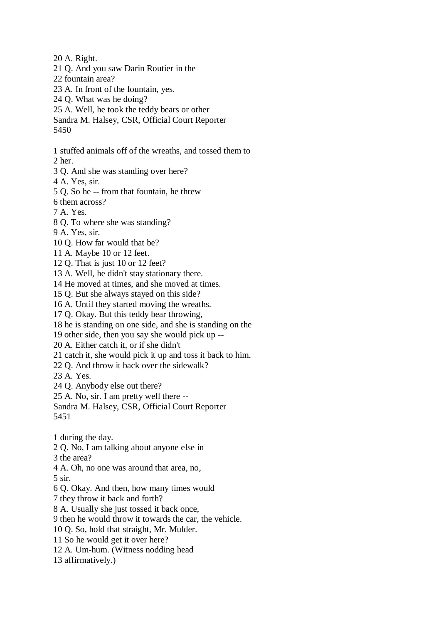20 A. Right.

- 21 Q. And you saw Darin Routier in the
- 22 fountain area?
- 23 A. In front of the fountain, yes.
- 24 Q. What was he doing?
- 25 A. Well, he took the teddy bears or other
- Sandra M. Halsey, CSR, Official Court Reporter 5450
- 1 stuffed animals off of the wreaths, and tossed them to

2 her.

- 3 Q. And she was standing over here?
- 4 A. Yes, sir.
- 5 Q. So he -- from that fountain, he threw
- 6 them across?
- 7 A. Yes.
- 8 Q. To where she was standing?
- 9 A. Yes, sir.
- 10 Q. How far would that be?
- 11 A. Maybe 10 or 12 feet.
- 12 Q. That is just 10 or 12 feet?
- 13 A. Well, he didn't stay stationary there.
- 14 He moved at times, and she moved at times.
- 15 Q. But she always stayed on this side?
- 16 A. Until they started moving the wreaths.
- 17 Q. Okay. But this teddy bear throwing,
- 18 he is standing on one side, and she is standing on the
- 19 other side, then you say she would pick up --
- 20 A. Either catch it, or if she didn't
- 21 catch it, she would pick it up and toss it back to him.
- 22 Q. And throw it back over the sidewalk?
- 23 A. Yes.
- 24 Q. Anybody else out there?
- 25 A. No, sir. I am pretty well there --
- Sandra M. Halsey, CSR, Official Court Reporter
- 5451
- 1 during the day.
- 2 Q. No, I am talking about anyone else in
- 3 the area?
- 4 A. Oh, no one was around that area, no,
- 5 sir.
- 6 Q. Okay. And then, how many times would
- 7 they throw it back and forth?
- 8 A. Usually she just tossed it back once,
- 9 then he would throw it towards the car, the vehicle.
- 10 Q. So, hold that straight, Mr. Mulder.
- 11 So he would get it over here?
- 12 A. Um-hum. (Witness nodding head
- 13 affirmatively.)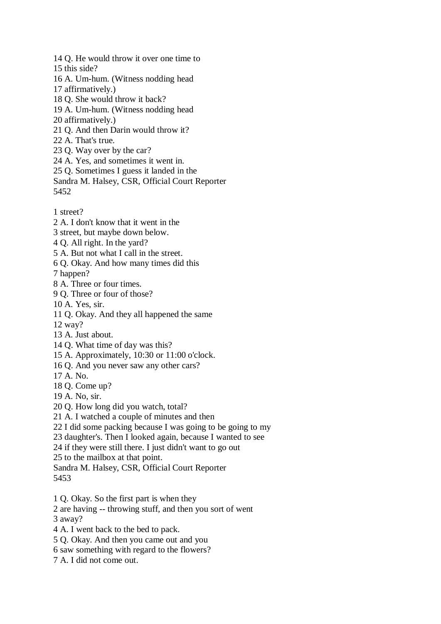- 14 Q. He would throw it over one time to
- 15 this side?
- 16 A. Um-hum. (Witness nodding head
- 17 affirmatively.)
- 18 Q. She would throw it back?
- 19 A. Um-hum. (Witness nodding head
- 20 affirmatively.)
- 21 Q. And then Darin would throw it?
- 22 A. That's true.
- 23 Q. Way over by the car?
- 24 A. Yes, and sometimes it went in.
- 25 Q. Sometimes I guess it landed in the
- Sandra M. Halsey, CSR, Official Court Reporter 5452
- 1 street?
- 2 A. I don't know that it went in the
- 3 street, but maybe down below.
- 4 Q. All right. In the yard?
- 5 A. But not what I call in the street.
- 6 Q. Okay. And how many times did this

7 happen?

- 8 A. Three or four times.
- 9 Q. Three or four of those?
- 10 A. Yes, sir.
- 11 Q. Okay. And they all happened the same
- 12 way?
- 13 A. Just about.
- 14 Q. What time of day was this?
- 15 A. Approximately, 10:30 or 11:00 o'clock.
- 16 Q. And you never saw any other cars?
- 17 A. No.
- 18 Q. Come up?
- 19 A. No, sir.
- 20 Q. How long did you watch, total?
- 21 A. I watched a couple of minutes and then
- 22 I did some packing because I was going to be going to my
- 23 daughter's. Then I looked again, because I wanted to see
- 24 if they were still there. I just didn't want to go out
- 25 to the mailbox at that point.
- Sandra M. Halsey, CSR, Official Court Reporter 5453
- 1 Q. Okay. So the first part is when they
- 2 are having -- throwing stuff, and then you sort of went
- 3 away?
- 4 A. I went back to the bed to pack.
- 5 Q. Okay. And then you came out and you
- 6 saw something with regard to the flowers?
- 7 A. I did not come out.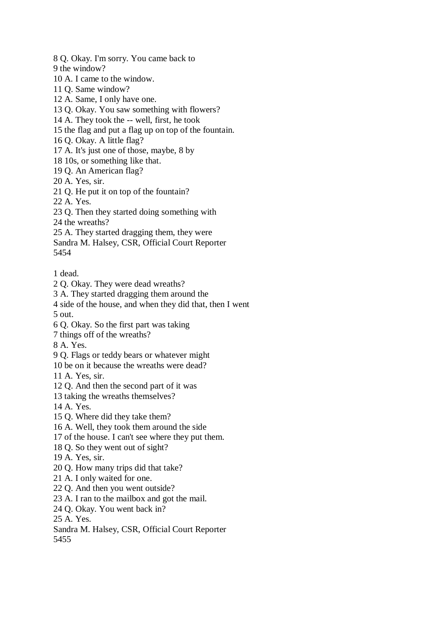8 Q. Okay. I'm sorry. You came back to

9 the window?

10 A. I came to the window.

- 11 Q. Same window?
- 12 A. Same, I only have one.

13 Q. Okay. You saw something with flowers?

14 A. They took the -- well, first, he took

15 the flag and put a flag up on top of the fountain.

16 Q. Okay. A little flag?

17 A. It's just one of those, maybe, 8 by

18 10s, or something like that.

19 Q. An American flag?

20 A. Yes, sir.

- 21 Q. He put it on top of the fountain?
- 22 A. Yes.
- 23 Q. Then they started doing something with

24 the wreaths?

25 A. They started dragging them, they were

Sandra M. Halsey, CSR, Official Court Reporter

5454

1 dead.

2 Q. Okay. They were dead wreaths?

3 A. They started dragging them around the

4 side of the house, and when they did that, then I went 5 out.

- 6 Q. Okay. So the first part was taking
- 7 things off of the wreaths?

8 A. Yes.

9 Q. Flags or teddy bears or whatever might

10 be on it because the wreaths were dead?

11 A. Yes, sir.

- 12 Q. And then the second part of it was
- 13 taking the wreaths themselves?
- 14 A. Yes.
- 15 Q. Where did they take them?

16 A. Well, they took them around the side

17 of the house. I can't see where they put them.

18 Q. So they went out of sight?

- 19 A. Yes, sir.
- 20 Q. How many trips did that take?
- 21 A. I only waited for one.
- 22 Q. And then you went outside?
- 23 A. I ran to the mailbox and got the mail.
- 24 Q. Okay. You went back in?

25 A. Yes.

Sandra M. Halsey, CSR, Official Court Reporter 5455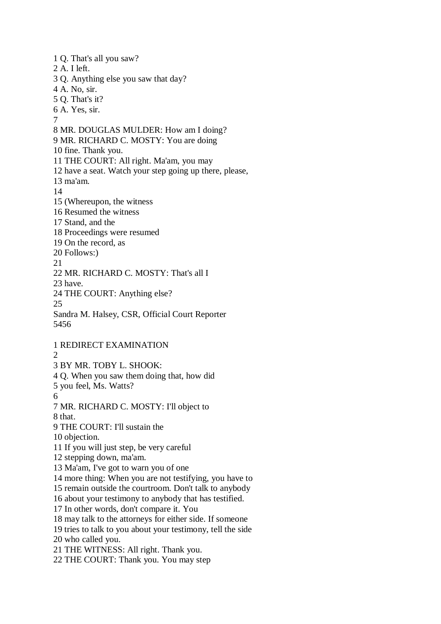1 Q. That's all you saw? 2 A. I left. 3 Q. Anything else you saw that day? 4 A. No, sir. 5 Q. That's it? 6 A. Yes, sir. 7 8 MR. DOUGLAS MULDER: How am I doing? 9 MR. RICHARD C. MOSTY: You are doing 10 fine. Thank you. 11 THE COURT: All right. Ma'am, you may 12 have a seat. Watch your step going up there, please, 13 ma'am. 14 15 (Whereupon, the witness 16 Resumed the witness 17 Stand, and the 18 Proceedings were resumed 19 On the record, as 20 Follows:) 21 22 MR. RICHARD C. MOSTY: That's all I 23 have. 24 THE COURT: Anything else? 25 Sandra M. Halsey, CSR, Official Court Reporter 5456 1 REDIRECT EXAMINATION  $\mathcal{L}$ 3 BY MR. TOBY L. SHOOK: 4 Q. When you saw them doing that, how did 5 you feel, Ms. Watts? 6 7 MR. RICHARD C. MOSTY: I'll object to 8 that. 9 THE COURT: I'll sustain the 10 objection. 11 If you will just step, be very careful 12 stepping down, ma'am. 13 Ma'am, I've got to warn you of one 14 more thing: When you are not testifying, you have to 15 remain outside the courtroom. Don't talk to anybody 16 about your testimony to anybody that has testified. 17 In other words, don't compare it. You 18 may talk to the attorneys for either side. If someone 19 tries to talk to you about your testimony, tell the side 20 who called you. 21 THE WITNESS: All right. Thank you. 22 THE COURT: Thank you. You may step